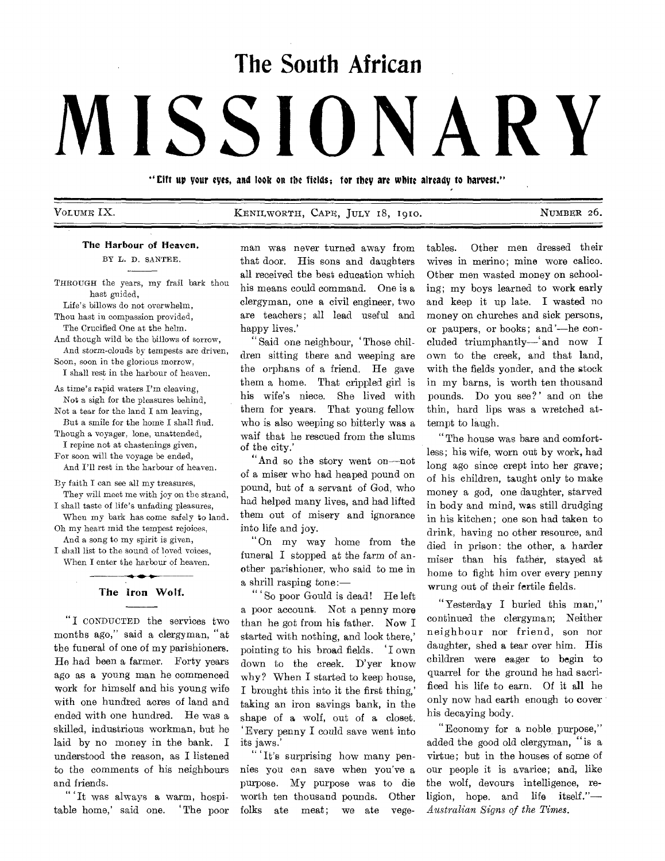# **The South African**

# MISSION

"Cift up your eyes, and look on the fields; for they are white already to harvest."

| VOLUME IX |  |
|-----------|--|
|-----------|--|

KENILWORTH, CAPE, JULY 18, 1910. NUMBER 26.

#### The Harbour of Heaven.

BY L. D. SANTEE.

THROUGH the years, my frail bark thou hast guided.

Life's billows do not overwhelm, Thou hast in compassion provided, The Crucified One at the helm.

And though wild be the billows of sorrow, And storm-clouds by tempests are driven,

Soon, soon in the glorious morrow, I shall rest in the harbour of heaven.

As time's rapid waters I'm cleaving, Not a sigh for the pleasures behind,

Not a tear for the land I am leaving, But a smile for the home I shall find.

Though a voyager, lone, unattended, I repine not at chastenings given,

For soon will the voyage be ended, And I'll rest in the harbour of heaven.

By faith I can see all my treasures, They will meet me with joy on the strand,

I shall taste of life's unfading pleasures, When my bark has come safely to land.

Oh my heart mid the tempest rejoices, And a song to my spirit is given,

I shall list to the sound of loved voices, When I enter the harbour of heaven.

# محمد The Iron Wolf.

"I CONDUCTED the services two months ago," said a clergyman, "at the funeral of one of my parishioners. He had been a farmer. Forty years ago as a young man he commenced work for himself and his young wife with one hundred acres of land and ended with one hundred. He was a skilled, industrious workman, but he laid by no money in the bank. I understood the reason, as I listened to the comments of his neighbours and friends.

" 'It was always a warm, hospitable home,' said one. 'The poor man was never turned away from that door. His sons and daughters all received the best education which his means could command. One is a clergyman, one a civil engineer, two are teachers; all lead useful and happy lives.'

" Said one neighbour, 'Those children sitting there and weeping are the orphans of a friend. He gave them a home. That crippled girl is his wife's niece. She lived with them for years. That young fellow who is also weeping so bitterly was a waif that he rescued from the slums of the city.'

"And so the story went on—not of a miser who had heaped pound on pound, but of a servant of God, who had helped many lives, and had lifted them out of misery and ignorance into life and joy.

"On my way home from the funeral I stopped at the farm of another parishioner, who said to me in a shrill rasping tone:—

" So poor Gould is dead! He left a poor account. Not a penny more than he got from his father. Now I started with nothing, and look there,' pointing to his broad fields. 'I own down to the creek. D'yer know why? When I started to keep house, I brought this into it the first thing,' taking an iron savings bank, in the shape of a wolf, out of a closet. `Every penny I could save went into its jaws.'

" 'It's surprising how many pennies you can save when you've a purpose. My purpose was to die worth ten thousand pounds. Other folks ate meat; we ate vegetables. Other men dressed their wives in merino; mine wore calico. Other men wasted money on schooling; my boys learned to work early and keep it up late. I wasted no money on churches and sick persons, or paupers, or books; and'—he concluded triumphantly—' and now I own to the creek, and that land, with the fields yonder, and the stock in my barns, is worth ten thousand pounds. Do you see?' and on the thin, hard lips was a wretched attempt to laugh.

"The house was bare and comfortless; his wife, worn out by work, had long ago since crept into her grave; of his children, taught only to make money a god, one daughter, starved in body and mind, was still drudging in his kitchen; one son had taken to drink, having no other resource, and died in prison: the other, a harder miser than his father, stayed at home to fight him over every penny wrung out of their fertile fields.

"Yesterday I buried this man," continued the clergyman; Neither neighbour nor friend, son nor daughter, shed a tear over him. His children were eager to begin to quarrel for the ground he had sacrificed his life to earn. Of it all he only now had earth enough to cover his decaying body.

"Economy for a noble purpose," added the good old clergyman, "is a virtue; but in the houses of some of our people it is avarice; and, like the wolf, devours intelligence, religion, hope. and life itself."— *Australian Signs of the Times.*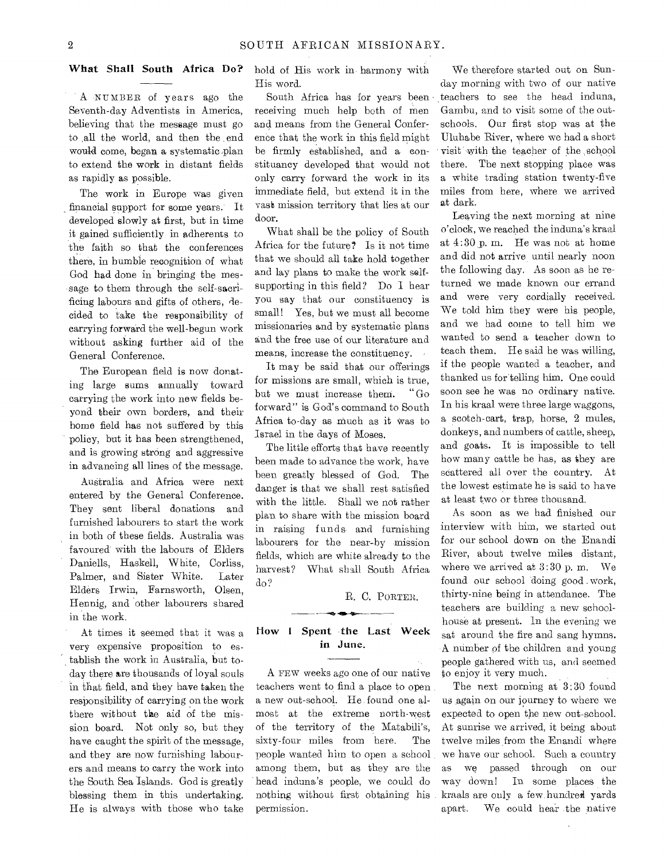### What Shall South Africa Do?

A NUMBER of years ago the Seventh-day Adventists in America, believing that the message must go to ,all the world, and then the end would come, began a systematic plan to extend the work in distant fields as rapidly as possible.

The work in Europe was given financial support for some years. It developed slowly at first, but in time it gained sufficiently in adherents to the faith so that the conferences there, in bumble recognition of what God had done in bringing the message to them through the self-sacrificing labours and gifts of others, decided to take the responsibility of carrying forward the well-begun work without asking further aid of the General Conference.

The European field is now donating large sums annually toward carrying the work into new fields beyond their own borders, and their home field has not suffered by this policy, but it has been strengthened, and is growing strong and aggressive in advancing all lines of the message.

Australia and Africa were next entered by the General Conference. They sent liberal donations and furnished labourers to start the work in both of these fields. Australia was favoured' with the labours of Elders Daniells, Haskell, White, Corliss, Palmer, and Sister White. Later Elders Irwin, Farnsworth, Olsen, Hennig, and other labourers shared in the work.

At times it seemed that it was a very expensive proposition to establish the work in Australia, but today there are thousands of loyal souls in that field, and they have taken the responsibility of carrying on the work there without the aid of the mission board. Not only so, but they have caught the spirit of the message, and they are now furnishing labourers and means to carry the work into the South Sea Islands. God is greatly blessing them in this undertaking. He is always with those who take

hold of His work in- harmony with His word.

South Africa has for years been receiving much help both of men and means from the General Conference that the work in this field might be firmly established, and a eonstituancy developed that would not only carry forward the work in its immediate field, but extend it in the vast mission territory that lies at our door.

What shall be the policy of South Africa for the future? Is it not time that we should all take hold together and lay plans to make the work selfsupporting in this field? Do I hear you say that our constituency is small! Yes, but we must all become missionaries and by systematic plans and the free use of our literature and means, increase the constituency.

It may be said that our offerings for missions are small, which is true, but we must increase them. "Go forward" is God's command to South Africa to-day as much as it Was to Israel in the days of Moses.

The little efforts that have recently been made to advance the work, have been greatly blessed of God. The danger is that we shall rest satisfied with the little. Shall we not rather plan to share with the mission board in raising funds and furnishing labourers for the near-by mission fields, which are white already to the harvest? What shall South Africa do?

R. C. PORTER.

# How I Spent the Last Week in June.

A FEW weeks ago one of our native teachers went to find a place to open a new out-school. He found one almost at the extreme north-west of the territory of the Matabili's, sixty-four miles from here. The people wanted him to open a school among them, but as they are the head induna's people, we could do nothing without first obtaining his permission.

We therefore started out on Sunday morning with two of our native teachers to see the head induna, Gambu, and to visit some of the outschools. Our first stop was at the Uluhabe River, where we had a short visit with the teacher of the :school there. The next stopping place was a white trading station twenty-five miles from here, where we arrived at dark.

Leaving the next morning at nine o'clock, we reached the induna's kraal at 4:30 p. m. He was not at home and did not arrive until nearly noon the following day. As soon as he returned we made known our errand and were very cordially received. We told him they were his people, and we had come to tell him we wanted to send a teacher down to teach them. He said he was willing, if the people wanted a teacher, and thanked us for telling him. One could soon see he was no ordinary native. In his kraal were three large waggons, a scotch-cart, trap, horse, 2 mules, donkeys, and numbers of cattle, sheep, and goats. It is impossible to tell how many cattle he has, as they are scattered all over the country. At the lowest estimate he is said to have at least two or three thousand.

As soon as we had finished our interview with him, we started out for our school down on the Enandi River, about twelve miles distant, where we arrived at 3:30 p. m. We found our school doing good , work, thirty-nine being in attendance. The teachers are building a new schoolhouse at present. In the evening we sat around the fire and sang hymns. A number of the children and young people gathered with us, and seemed to enjoy it very much.

The next morning at 3:30 found us again on our journey to where we expected to open the new out-school. At sunrise we arrived, it being about twelve miles from the Enandi where we have our school. Such a country as we passed through on our way down! In some places the kraals are only a few hundred yards apart. We could hear the native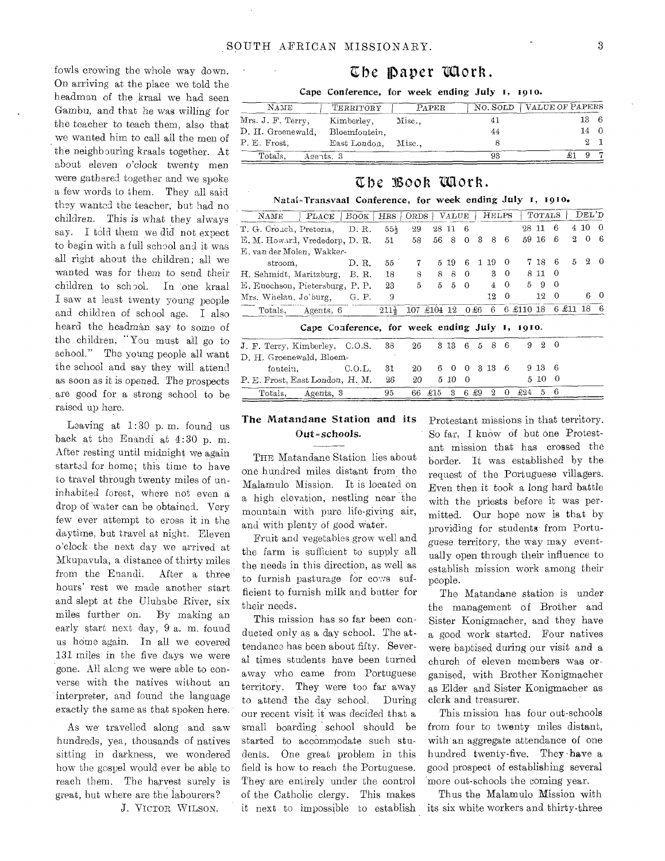fowls crowing the whole way down. On arriving at the place we told the headman of the kraal we had seen Gambu, and that **he was** willing for the teacher to teach them, also that we wanted him to call all the men of the neighbouring kraals together. At about eleven o'clock twenty men **were** gathered together and we spoke **a few words** to them. They all said they wanted the teacher, but had **no children.** This is what they **always**  say. **I told** them we did not **expect to begin** with a full school and it was all right ahout **the children; all we**  wanted **was for them to send** their children **to school. In 'one** kraal I saw at **least** twenty **young** people and **children of school age. I** also heard the **headman** say to some of the children, **"You** must all go **to**  school," The **young** people all want the school and **say** they will attend as soon as it is opened. The prospects are good **for a** strong school to be raised up here.

Leaving at 1:30 p. m. found us back at the Enandi at 4:30 p. m. **After** resting until midnight we again **started** for home; this time to have **to travel** through twenty miles of uninhabited **forest,** where not even a drop **of 'water can** be **obtained.** Very few ever attempt to **cross it** in the daytime, but travel at **night.** Eleven o'clock• the next **day we** arrived at 1VIkupavula, **a distance of** thirty miles from the **Enandi.** After a three hours' rest we **made** another start and slept at the Uluhabe River, six miles further **on.** By making an early **start next day, 9 a.** m. found us home again. In all we covered 131 miles in the five days we were gone. All along we were able to converse with the natives without an interpreter, and found the language exactly **the** same as that spoken here.

As we **travelled** along and saw hundreds, yea, **thousands** of natives sitting **in darkness, we** wondered how **the gospel would** ever be able to **reach them.** The harvest surely is great, but where are the labourers?

**J.** VICTOR WILSON.

# Cbe Paper 'Mork.

Cape Conference, for week ending July I, 1910.

| NAME              | TERRITORY           | PAPER | NO. SOLD VALUE OF PAPERS |      |  |
|-------------------|---------------------|-------|--------------------------|------|--|
| Mrs. J. F. Terry, | Kimberley,          | Misc  |                          | 13 6 |  |
| D. H. Groenewald, | Bloemfontein.       |       | 44                       | 14   |  |
| P. E. Frost,      | East London, Misc., |       |                          |      |  |
| Totals.           | Agents, 3           |       | 93                       |      |  |

# Cho IBooh 'Won.

### Natal-Transvaal Conference, for week ending July i, 1910.

|                                 |                           |                                                |                  |             |         |               |          |      |                |                |           | TOTALS   |                       |          | DEL'D    |          |
|---------------------------------|---------------------------|------------------------------------------------|------------------|-------------|---------|---------------|----------|------|----------------|----------------|-----------|----------|-----------------------|----------|----------|----------|
| $N_{\rm AME}$                   | PLACE                     | BOOK                                           | $\rm\,HRS$       | <b>ORDS</b> |         | $\rm_{VALUE}$ |          |      | HELPS          |                |           |          |                       |          |          |          |
| T. G. Crouch, Pretoria,         |                           | D.R.                                           | $55\frac{1}{2}$  | 29          |         | 2811          | -6       |      |                |                | 98 11     |          | 6                     |          | 4 10     | $\Omega$ |
| E. M. Howard, Vrededorp, D. R.  |                           |                                                | 51               | 58          | 56      | 8             | $\theta$ | 3    | 8              | 6              | 59        | 16       | 6                     | 2        | $\theta$ | 6        |
|                                 | E. van der Molen, Wakker- |                                                |                  |             |         |               |          |      |                |                |           |          |                       |          |          |          |
| stroom.                         |                           | D. R.                                          | $55^{\circ}$     | 7           |         | 5 19          | 6        | 1    | 19             | $\Omega$       |           | 7 18     | 6                     | 5        | $^{2}$   | - 0      |
| H. Sehmidt, Maritzburg,         |                           | B. R.                                          | 18               | 8           | 8       | 8             | $\Omega$ |      | 3              | $\overline{0}$ |           | 8 11     | $\Omega$              |          |          |          |
| E. Enochson, Pietersburg, P. P. |                           |                                                | 23               | 5           | 5       | 5             | - 0      |      | $\overline{4}$ | $\Omega$       | 5         | 9        | $\Omega$              |          |          |          |
| Mrs. Whelan, Jo'burg,           |                           | G. P.                                          | 9                |             |         |               |          |      | 12             | $\Omega$       |           | 12       | $\Omega$              |          | 6        | ∩        |
| Totals, Agents, 6               |                           |                                                | $211\frac{1}{2}$ | 107         | £104 12 |               |          | 0 £6 | 6              |                | 6 £110 18 |          |                       | 6 £11 18 |          | 6        |
|                                 |                           | Cape Conference, for week ending July 1, 1910. |                  |             |         |               |          |      |                |                |           |          |                       |          |          |          |
|                                 |                           |                                                |                  |             |         |               |          |      |                |                |           |          |                       |          |          |          |
| J. F. Terry, Kimberley, C.O.S.  |                           |                                                | 38               | 26          |         | 3 13          | 6        | 5    | 8              | 6              | 9         | $\Omega$ | - 0                   |          |          |          |
| D. H. Groenewald, Bloem-        |                           |                                                |                  |             |         |               |          |      |                |                |           |          |                       |          |          |          |
| fontein.                        | $\rm CO.L.$               |                                                | 31               | 20          | 6       | $\Omega$      | $\Omega$ |      | 3 13           | -6             |           | 9 13     | $\boldsymbol{\kappa}$ |          |          |          |
| P. E. Frost, East London, H. M. |                           |                                                | 26               | 20          |         | 5 10          | $\theta$ |      |                |                |           | 510      | $\Omega$              |          |          |          |
| Totals, Agents, 3               |                           |                                                | 95               | 66          | £15     | 3             | 6.       | -£9  | 9.             | 0              | £24       | 5        | 6                     |          |          |          |

## The Matandane Station and its Out-schools.

THE Matandane Station lies about one hundred miles distant from the Malamulo Mission. It is located on a high elevation, nestling near 'the mountain with pure life-giving air, and with **plenty of good water.** 

Fruit and **vegetables grow** well and the farm is **sufficient to supply** all the needs in this direction, **as well as**  to furnish pasturage for cows **sufficient** to furnish milk and butter for their needs.

This mission has so far been conducted only as a day school. The attendance has been about fifty. Several times students have been turned away who came from Portuguese territory. They were too far away to attend the day school. During our recent visit it was decided that a small boarding school should be started to accommodate such students. One great problem in this field is how to reach the Portuguese. They are entirely under the control of the Catholic clergy. This makes it next to impossible to establish Protestant missions in that territory. So far, I know of but one Protestant mission that has crossed the border. It was established by the request of the Portuguese villagers. Even then it took a long hard battle with the priests before it was permitted. Our hope now is that by providing for students from Portuguese territory, the way may eventually open through their influence to establish mission work among their people.

The Matandane station is under the management of Brother and Sister Konigmacher, and they have **a** good work started. Four natives were baptised during our visit and a church of eleven members was organised, with Brother Konigmacher as Elder and Sister Konigmacher as clerk and treasurer.

This mission has four out-schools from four to twenty miles distant, with an aggregate attendance of one hundred twenty-five. They-have a good prospect of establishing several more out-schools the coming year.

Thus the Malamulo Mission with its six white workers and thirty-three